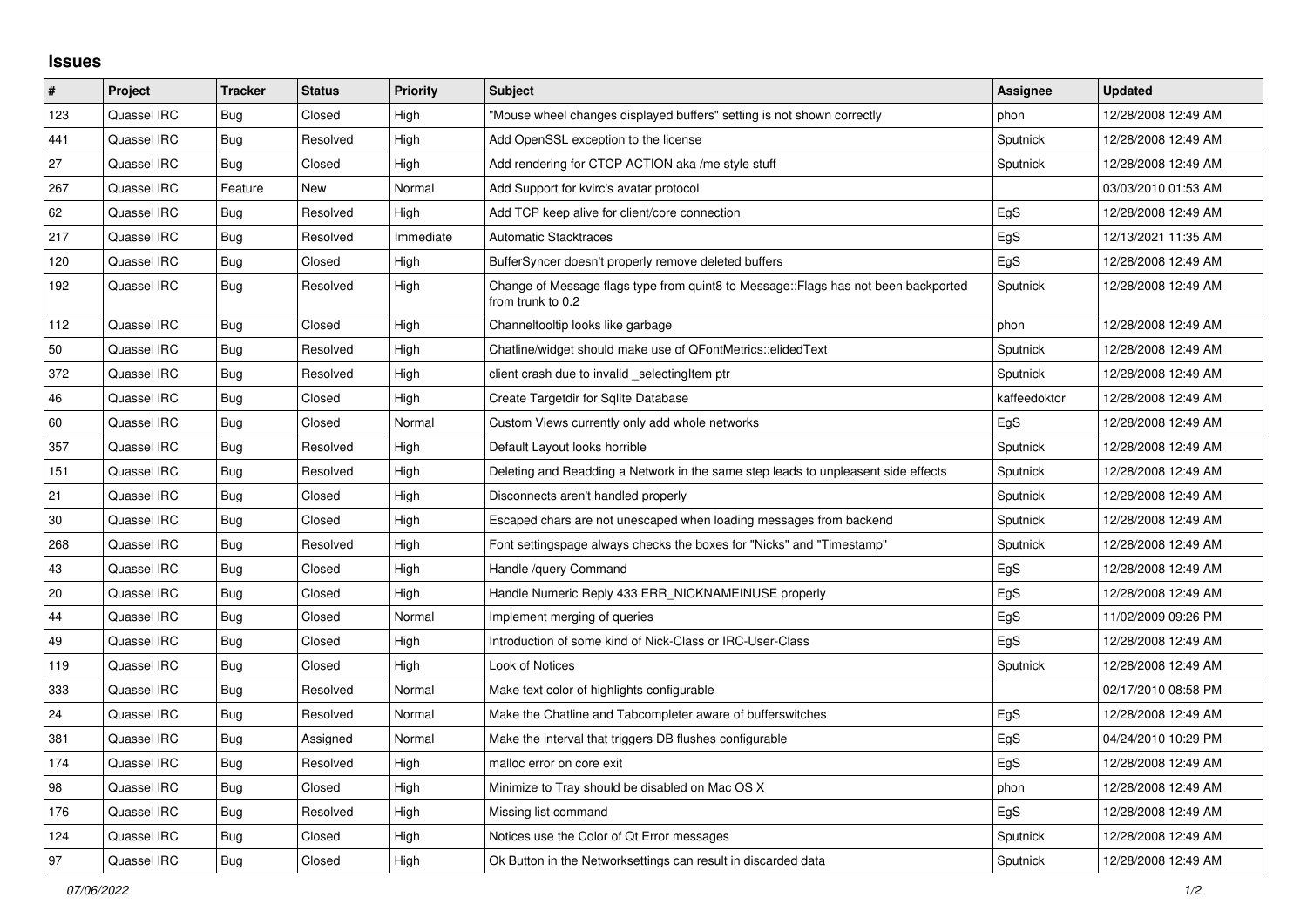## **Issues**

| $\vert$ # | Project     | <b>Tracker</b> | <b>Status</b> | <b>Priority</b> | <b>Subject</b>                                                                                          | Assignee     | <b>Updated</b>      |
|-----------|-------------|----------------|---------------|-----------------|---------------------------------------------------------------------------------------------------------|--------------|---------------------|
| 123       | Quassel IRC | Bug            | Closed        | High            | "Mouse wheel changes displayed buffers" setting is not shown correctly                                  | phon         | 12/28/2008 12:49 AM |
| 441       | Quassel IRC | Bug            | Resolved      | High            | Add OpenSSL exception to the license                                                                    | Sputnick     | 12/28/2008 12:49 AM |
| 27        | Quassel IRC | Bug            | Closed        | High            | Add rendering for CTCP ACTION aka /me style stuff                                                       | Sputnick     | 12/28/2008 12:49 AM |
| 267       | Quassel IRC | Feature        | New           | Normal          | Add Support for kvirc's avatar protocol                                                                 |              | 03/03/2010 01:53 AM |
| 62        | Quassel IRC | Bug            | Resolved      | High            | Add TCP keep alive for client/core connection                                                           | EgS          | 12/28/2008 12:49 AM |
| 217       | Quassel IRC | Bug            | Resolved      | Immediate       | <b>Automatic Stacktraces</b>                                                                            | EgS          | 12/13/2021 11:35 AM |
| 120       | Quassel IRC | <b>Bug</b>     | Closed        | High            | BufferSyncer doesn't properly remove deleted buffers                                                    | EgS          | 12/28/2008 12:49 AM |
| 192       | Quassel IRC | Bug            | Resolved      | High            | Change of Message flags type from quint8 to Message::Flags has not been backported<br>from trunk to 0.2 | Sputnick     | 12/28/2008 12:49 AM |
| 112       | Quassel IRC | Bug            | Closed        | High            | Channeltooltip looks like garbage                                                                       | phon         | 12/28/2008 12:49 AM |
| 50        | Quassel IRC | <b>Bug</b>     | Resolved      | High            | Chatline/widget should make use of QFontMetrics::elidedText                                             | Sputnick     | 12/28/2008 12:49 AM |
| 372       | Quassel IRC | Bug            | Resolved      | High            | client crash due to invalid _selectingItem ptr                                                          | Sputnick     | 12/28/2008 12:49 AM |
| 46        | Quassel IRC | Bug            | Closed        | High            | Create Targetdir for Sqlite Database                                                                    | kaffeedoktor | 12/28/2008 12:49 AM |
| 60        | Quassel IRC | Bug            | Closed        | Normal          | Custom Views currently only add whole networks                                                          | EgS          | 12/28/2008 12:49 AM |
| 357       | Quassel IRC | <b>Bug</b>     | Resolved      | High            | Default Layout looks horrible                                                                           | Sputnick     | 12/28/2008 12:49 AM |
| 151       | Quassel IRC | Bug            | Resolved      | High            | Deleting and Readding a Network in the same step leads to unpleasent side effects                       | Sputnick     | 12/28/2008 12:49 AM |
| 21        | Quassel IRC | Bug            | Closed        | High            | Disconnects aren't handled properly                                                                     | Sputnick     | 12/28/2008 12:49 AM |
| 30        | Quassel IRC | Bug            | Closed        | High            | Escaped chars are not unescaped when loading messages from backend                                      | Sputnick     | 12/28/2008 12:49 AM |
| 268       | Quassel IRC | Bug            | Resolved      | High            | Font settingspage always checks the boxes for "Nicks" and "Timestamp"                                   | Sputnick     | 12/28/2008 12:49 AM |
| 43        | Quassel IRC | <b>Bug</b>     | Closed        | High            | Handle /query Command                                                                                   | EgS          | 12/28/2008 12:49 AM |
| 20        | Quassel IRC | <b>Bug</b>     | Closed        | High            | Handle Numeric Reply 433 ERR_NICKNAMEINUSE properly                                                     | EgS          | 12/28/2008 12:49 AM |
| 44        | Quassel IRC | <b>Bug</b>     | Closed        | Normal          | Implement merging of queries                                                                            | EgS          | 11/02/2009 09:26 PM |
| 49        | Quassel IRC | <b>Bug</b>     | Closed        | High            | Introduction of some kind of Nick-Class or IRC-User-Class                                               | EgS          | 12/28/2008 12:49 AM |
| 119       | Quassel IRC | Bug            | Closed        | High            | Look of Notices                                                                                         | Sputnick     | 12/28/2008 12:49 AM |
| 333       | Quassel IRC | Bug            | Resolved      | Normal          | Make text color of highlights configurable                                                              |              | 02/17/2010 08:58 PM |
| 24        | Quassel IRC | <b>Bug</b>     | Resolved      | Normal          | Make the Chatline and Tabcompleter aware of bufferswitches                                              | EgS          | 12/28/2008 12:49 AM |
| 381       | Quassel IRC | Bug            | Assigned      | Normal          | Make the interval that triggers DB flushes configurable                                                 | EgS          | 04/24/2010 10:29 PM |
| 174       | Quassel IRC | Bug            | Resolved      | High            | malloc error on core exit                                                                               | EgS          | 12/28/2008 12:49 AM |
| 98        | Quassel IRC | <b>Bug</b>     | Closed        | High            | Minimize to Tray should be disabled on Mac OS X                                                         | phon         | 12/28/2008 12:49 AM |
| 176       | Quassel IRC | Bug            | Resolved      | High            | Missing list command                                                                                    | EgS          | 12/28/2008 12:49 AM |
| 124       | Quassel IRC | Bug            | Closed        | High            | Notices use the Color of Qt Error messages                                                              | Sputnick     | 12/28/2008 12:49 AM |
| 97        | Quassel IRC | <b>Bug</b>     | Closed        | High            | Ok Button in the Networksettings can result in discarded data                                           | Sputnick     | 12/28/2008 12:49 AM |